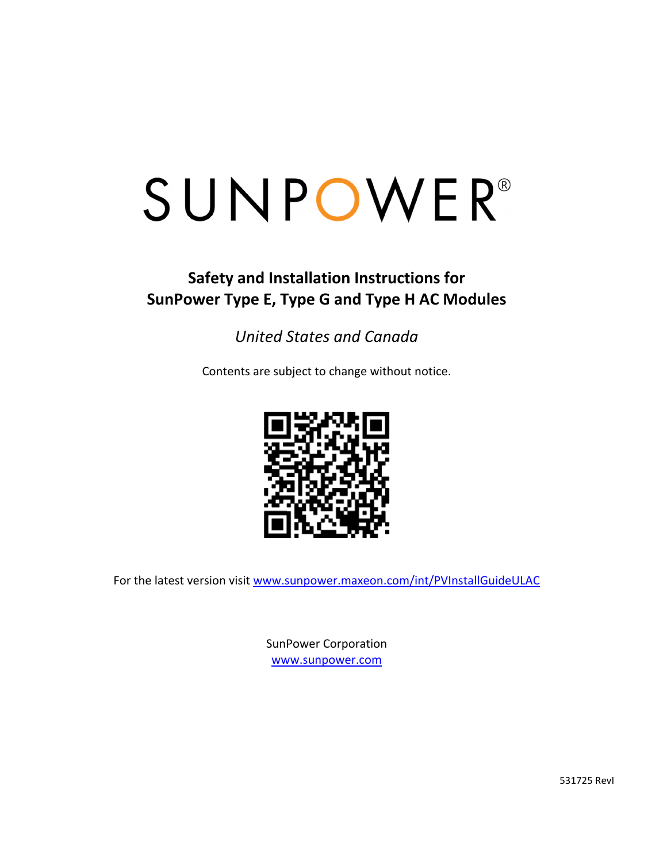### **Safety and Installation Instructions for SunPower Type E, Type G and Type H AC Modules**

### *United States and Canada*

Contents are subject to change without notice.



For the latest version visit www.sunpower.maxeon.com/int/PVInstallGuideULAC

SunPower Corporation www.sunpower.com

531725 RevI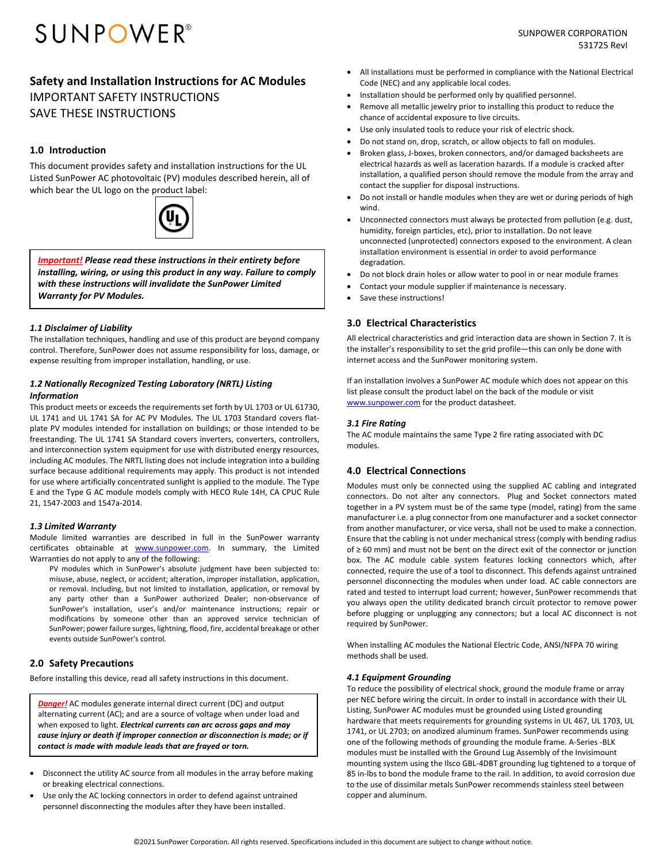#### **Safety and Installation Instructions for AC Modules**  IMPORTANT SAFETY INSTRUCTIONS SAVE THESE INSTRUCTIONS

#### **1.0 Introduction**

This document provides safety and installation instructions for the UL Listed SunPower AC photovoltaic (PV) modules described herein, all of which bear the UL logo on the product label:



*Important! Please read these instructions in their entirety before installing, wiring, or using this product in any way. Failure to comply with these instructions will invalidate the SunPower Limited Warranty for PV Modules.*

#### *1.1 Disclaimer of Liability*

The installation techniques, handling and use of this product are beyond company control. Therefore, SunPower does not assume responsibility for loss, damage, or expense resulting from improper installation, handling, or use.

#### *1.2 Nationally Recognized Testing Laboratory (NRTL) Listing Information*

This product meets or exceeds the requirements set forth by UL 1703 or UL 61730, UL 1741 and UL 1741 SA for AC PV Modules. The UL 1703 Standard covers flat‐ plate PV modules intended for installation on buildings; or those intended to be freestanding. The UL 1741 SA Standard covers inverters, converters, controllers, and interconnection system equipment for use with distributed energy resources, including AC modules. The NRTL listing does not include integration into a building surface because additional requirements may apply. This product is not intended for use where artificially concentrated sunlight is applied to the module. The Type E and the Type G AC module models comply with HECO Rule 14H, CA CPUC Rule 21, 1547‐2003 and 1547a‐2014.

#### *1.3 Limited Warranty*

Module limited warranties are described in full in the SunPower warranty certificates obtainable at **www.sunpower.com**. In summary, the Limited Warranties do not apply to any of the following:

PV modules which in SunPower's absolute judgment have been subjected to: misuse, abuse, neglect, or accident; alteration, improper installation, application, or removal. Including, but not limited to installation, application, or removal by any party other than a SunPower authorized Dealer; non‐observance of SunPower's installation, user's and/or maintenance instructions; repair or modifications by someone other than an approved service technician of SunPower; power failure surges, lightning, flood, fire, accidental breakage or other events outside SunPower's control.

#### **2.0 Safety Precautions**

Before installing this device, read all safety instructions in this document.

*Danger!* AC modules generate internal direct current (DC) and output alternating current (AC); and are a source of voltage when under load and when exposed to light. *Electrical currents can arc across gaps and may cause injury or death if improper connection or disconnection is made; or if contact is made with module leads that are frayed or torn.*

- Disconnect the utility AC source from all modules in the array before making or breaking electrical connections.
- Use only the AC locking connectors in order to defend against untrained personnel disconnecting the modules after they have been installed.
- All installations must be performed in compliance with the National Electrical Code (NEC) and any applicable local codes.
- Installation should be performed only by qualified personnel.
- Remove all metallic jewelry prior to installing this product to reduce the chance of accidental exposure to live circuits.
- Use only insulated tools to reduce your risk of electric shock.
- Do not stand on, drop, scratch, or allow objects to fall on modules.
- Broken glass, J‐boxes, broken connectors, and/or damaged backsheets are electrical hazards as well as laceration hazards. If a module is cracked after installation, a qualified person should remove the module from the array and contact the supplier for disposal instructions.
- Do not install or handle modules when they are wet or during periods of high wind.
- Unconnected connectors must always be protected from pollution (e.g. dust, humidity, foreign particles, etc), prior to installation. Do not leave unconnected (unprotected) connectors exposed to the environment. A clean installation environment is essential in order to avoid performance degradation.
- Do not block drain holes or allow water to pool in or near module frames
- Contact your module supplier if maintenance is necessary.
- Save these instructions!

#### **3.0 Electrical Characteristics**

All electrical characteristics and grid interaction data are shown in Section 7. It is the installer's responsibility to set the grid profile—this can only be done with internet access and the SunPower monitoring system.

If an installation involves a SunPower AC module which does not appear on this list please consult the product label on the back of the module or visit www.sunpower.com for the product datasheet.

#### *3.1 Fire Rating*

The AC module maintains the same Type 2 fire rating associated with DC modules.

#### **4.0 Electrical Connections**

Modules must only be connected using the supplied AC cabling and integrated connectors. Do not alter any connectors. Plug and Socket connectors mated together in a PV system must be of the same type (model, rating) from the same manufacturer i.e. a plug connector from one manufacturer and a socket connector from another manufacturer, or vice versa, shall not be used to make a connection. Ensure that the cabling is not under mechanical stress (comply with bending radius of ≥ 60 mm) and must not be bent on the direct exit of the connector or junction box. The AC module cable system features locking connectors which, after connected, require the use of a tool to disconnect. This defends against untrained personnel disconnecting the modules when under load. AC cable connectors are rated and tested to interrupt load current; however, SunPower recommends that you always open the utility dedicated branch circuit protector to remove power before plugging or unplugging any connectors; but a local AC disconnect is not required by SunPower.

When installing AC modules the National Electric Code, ANSI/NFPA 70 wiring methods shall be used.

#### *4.1 Equipment Grounding*

To reduce the possibility of electrical shock, ground the module frame or array per NEC before wiring the circuit. In order to install in accordance with their UL Listing, SunPower AC modules must be grounded using Listed grounding hardware that meets requirements for grounding systems in UL 467, UL 1703, UL 1741, or UL 2703; on anodized aluminum frames. SunPower recommends using one of the following methods of grounding the module frame. A‐Series ‐BLK modules must be installed with the Ground Lug Assembly of the Invisimount mounting system using the Ilsco GBL‐4DBT grounding lug tightened to a torque of 85 in‐lbs to bond the module frame to the rail. In addition, to avoid corrosion due to the use of dissimilar metals SunPower recommends stainless steel between copper and aluminum.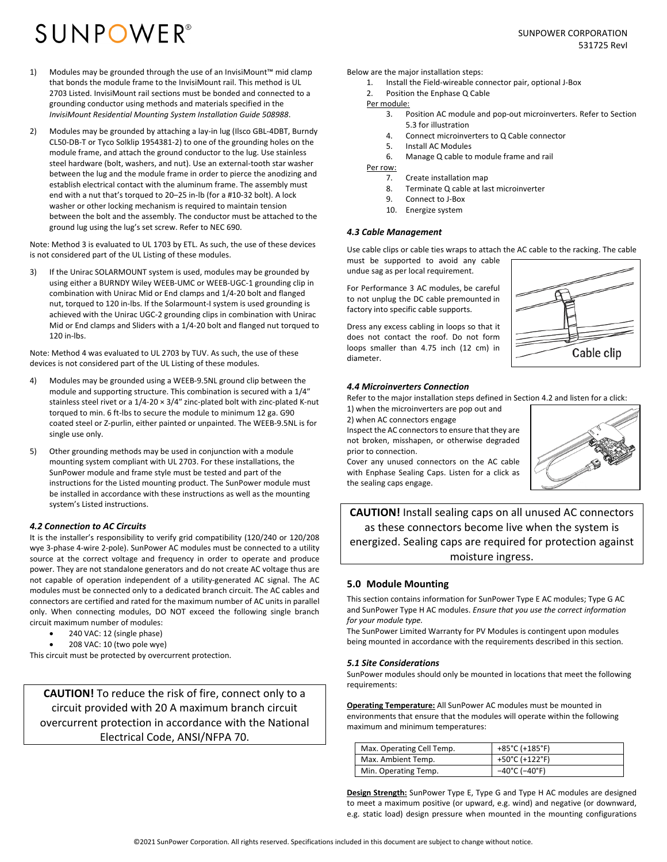- 1) Modules may be grounded through the use of an InvisiMount™ mid clamp that bonds the module frame to the InvisiMount rail. This method is UL 2703 Listed. InvisiMount rail sections must be bonded and connected to a grounding conductor using methods and materials specified in the *InvisiMount Residential Mounting System Installation Guide 508988*.
- 2) Modules may be grounded by attaching a lay-in lug (Ilsco GBL-4DBT, Burndy CL50‐DB‐T or Tyco Solklip 1954381‐2) to one of the grounding holes on the module frame, and attach the ground conductor to the lug. Use stainless steel hardware (bolt, washers, and nut). Use an external‐tooth star washer between the lug and the module frame in order to pierce the anodizing and establish electrical contact with the aluminum frame. The assembly must end with a nut that's torqued to 20–25 in‐lb (for a #10‐32 bolt). A lock washer or other locking mechanism is required to maintain tension between the bolt and the assembly. The conductor must be attached to the ground lug using the lug's set screw. Refer to NEC 690.

Note: Method 3 is evaluated to UL 1703 by ETL. As such, the use of these devices is not considered part of the UL Listing of these modules.

3) If the Unirac SOLARMOUNT system is used, modules may be grounded by using either a BURNDY Wiley WEEB‐UMC or WEEB‐UGC‐1 grounding clip in combination with Unirac Mid or End clamps and 1/4‐20 bolt and flanged nut, torqued to 120 in‐lbs. If the Solarmount‐I system is used grounding is achieved with the Unirac UGC‐2 grounding clips in combination with Unirac Mid or End clamps and Sliders with a 1/4‐20 bolt and flanged nut torqued to 120 in‐lbs.

Note: Method 4 was evaluated to UL 2703 by TUV. As such, the use of these devices is not considered part of the UL Listing of these modules.

- 4) Modules may be grounded using a WEEB‐9.5NL ground clip between the module and supporting structure. This combination is secured with a 1/4″ stainless steel rivet or a  $1/4$ -20  $\times$  3/4" zinc-plated bolt with zinc-plated K-nut torqued to min. 6 ft‐lbs to secure the module to minimum 12 ga. G90 coated steel or Z‐purlin, either painted or unpainted. The WEEB‐9.5NL is for single use only.
- 5) Other grounding methods may be used in conjunction with a module mounting system compliant with UL 2703. For these installations, the SunPower module and frame style must be tested and part of the instructions for the Listed mounting product. The SunPower module must be installed in accordance with these instructions as well as the mounting system's Listed instructions.

#### *4.2 Connection to AC Circuits*

It is the installer's responsibility to verify grid compatibility (120/240 or 120/208 wye 3-phase 4-wire 2-pole). SunPower AC modules must be connected to a utility source at the correct voltage and frequency in order to operate and produce power. They are not standalone generators and do not create AC voltage thus are not capable of operation independent of a utility-generated AC signal. The AC modules must be connected only to a dedicated branch circuit. The AC cables and connectors are certified and rated for the maximum number of AC units in parallel only. When connecting modules, DO NOT exceed the following single branch circuit maximum number of modules:

- 240 VAC: 12 (single phase)
- 208 VAC: 10 (two pole wye)

This circuit must be protected by overcurrent protection.

**CAUTION!** To reduce the risk of fire, connect only to a circuit provided with 20 A maximum branch circuit overcurrent protection in accordance with the National Electrical Code, ANSI/NFPA 70.

Below are the major installation steps:

- 1. Install the Field‐wireable connector pair, optional J‐Box
- 2. Position the Enphase Q Cable
- Per module:
	- 3. Position AC module and pop‐out microinverters. Refer to Section 5.3 for illustration
	- 4. Connect microinverters to Q Cable connector
	- 5. Install AC Modules
	- 6. Manage Q cable to module frame and rail

Per row:

- 7. Create installation map
- 8. Terminate Q cable at last microinverter
- 9. Connect to J‐Box
- 10. Energize system

#### *4.3 Cable Management*

Use cable clips or cable ties wraps to attach the AC cable to the racking. The cable must be supported to avoid any cable undue sag as per local requirement.

For Performance 3 AC modules, be careful to not unplug the DC cable premounted in factory into specific cable supports.

Dress any excess cabling in loops so that it does not contact the roof. Do not form loops smaller than 4.75 inch (12 cm) in diameter.

#### *4.4 Microinverters Connection*

Refer to the major installation steps defined in Section 4.2 and listen for a click:

1) when the microinverters are pop out and 2) when AC connectors engage Inspect the AC connectors to ensure that they are not broken, misshapen, or otherwise degraded

prior to connection. Cover any unused connectors on the AC cable with Enphase Sealing Caps. Listen for a click as the sealing caps engage.



Cable clip

**CAUTION!** Install sealing caps on all unused AC connectors as these connectors become live when the system is energized. Sealing caps are required for protection against moisture ingress.

#### **5.0 Module Mounting**

This section contains information for SunPower Type E AC modules; Type G AC and SunPower Type H AC modules. *Ensure that you use the correct information for your module type.*

The SunPower Limited Warranty for PV Modules is contingent upon modules being mounted in accordance with the requirements described in this section.

#### *5.1 Site Considerations*

SunPower modules should only be mounted in locations that meet the following requirements:

**Operating Temperature:** All SunPower AC modules must be mounted in environments that ensure that the modules will operate within the following maximum and minimum temperatures:

| Max. Operating Cell Temp. | +85°C (+185°F)                     |
|---------------------------|------------------------------------|
| Max. Ambient Temp.        | +50°C (+122°F)                     |
| Min. Operating Temp.      | $-40^{\circ}$ C ( $-40^{\circ}$ F) |

**Design Strength:** SunPower Type E, Type G and Type H AC modules are designed to meet a maximum positive (or upward, e.g. wind) and negative (or downward, e.g. static load) design pressure when mounted in the mounting configurations

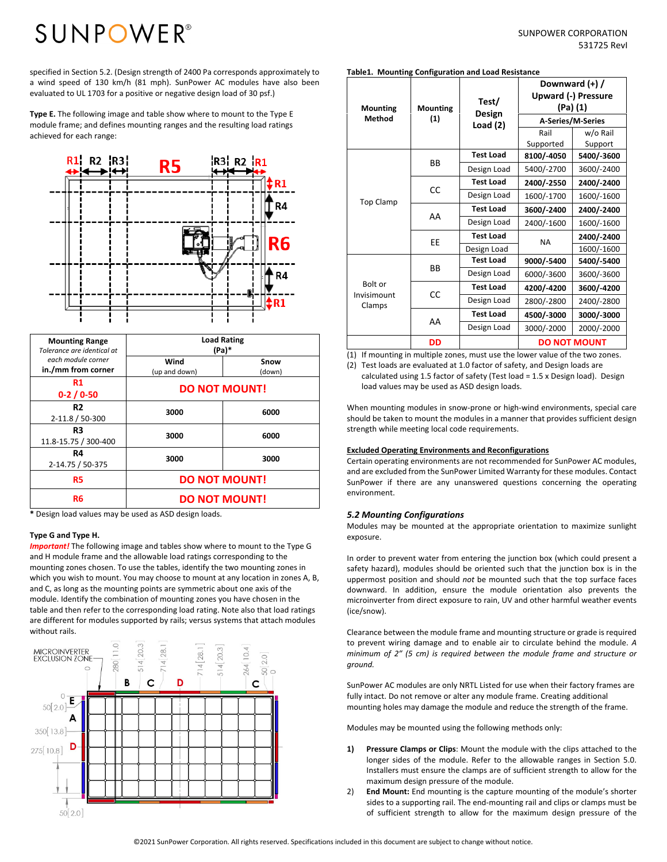# **SUNPOWER**<sup>®</sup>

specified in Section 5.2. (Design strength of 2400 Pa corresponds approximately to a wind speed of 130 km/h (81 mph). SunPower AC modules have also been evaluated to UL 1703 for a positive or negative design load of 30 psf.)

**Type E.** The following image and table show where to mount to the Type E module frame; and defines mounting ranges and the resulting load ratings achieved for each range:



| <b>Mounting Range</b><br>Tolerance are identical at | $(Pa)*$               | <b>Load Rating</b>   |  |  |  |  |
|-----------------------------------------------------|-----------------------|----------------------|--|--|--|--|
| each module corner<br>in./mm from corner            | Wind<br>(up and down) | Snow<br>(down)       |  |  |  |  |
| R1<br>$0-2/0-50$                                    | <b>DO NOT MOUNT!</b>  |                      |  |  |  |  |
| R2<br>2-11.8 / 50-300                               | 3000                  | 6000                 |  |  |  |  |
| R3<br>11.8-15.75 / 300-400                          | 3000                  | 6000                 |  |  |  |  |
| R4<br>2-14.75 / 50-375                              | 3000                  | 3000                 |  |  |  |  |
| R5                                                  | <b>DO NOT MOUNT!</b>  |                      |  |  |  |  |
| R6                                                  |                       | <b>DO NOT MOUNT!</b> |  |  |  |  |

**\*** Design load values may be used as ASD design loads.

#### **Type G and Type H.**

*Important!* The following image and tables show where to mount to the Type G and H module frame and the allowable load ratings corresponding to the mounting zones chosen. To use the tables, identify the two mounting zones in which you wish to mount. You may choose to mount at any location in zones A, B, and C, as long as the mounting points are symmetric about one axis of the module. Identify the combination of mounting zones you have chosen in the table and then refer to the corresponding load rating. Note also that load ratings are different for modules supported by rails; versus systems that attach modules without rails.



#### **Table1. Mounting Configuration and Load Resistance**

| <b>Mounting</b>       | <b>Mounting</b> | Test/<br>Design  |                   | Downward (+) /<br><b>Upward (-) Pressure</b><br>(Pa) (1) |  |  |
|-----------------------|-----------------|------------------|-------------------|----------------------------------------------------------|--|--|
| Method                | (1)             | Load $(2)$       | A-Series/M-Series |                                                          |  |  |
|                       |                 |                  | Rail              | w/o Rail                                                 |  |  |
|                       |                 |                  | Supported         | Support                                                  |  |  |
|                       | ВB              | <b>Test Load</b> | 8100/-4050        | 5400/-3600                                               |  |  |
|                       |                 | Design Load      | 5400/-2700        | 3600/-2400                                               |  |  |
|                       |                 | <b>Test Load</b> | 2400/-2550        | 2400/-2400                                               |  |  |
| <b>Top Clamp</b>      | CC              | Design Load      | 1600/-1700        | 1600/-1600                                               |  |  |
|                       |                 | <b>Test Load</b> | 3600/-2400        | 2400/-2400                                               |  |  |
|                       | AA              | Design Load      | 2400/-1600        | 1600/-1600                                               |  |  |
|                       | ЕE              | <b>Test Load</b> | <b>NA</b>         | 2400/-2400                                               |  |  |
|                       |                 | Design Load      |                   | 1600/-1600                                               |  |  |
|                       |                 | <b>Test Load</b> | 9000/-5400        | 5400/-5400                                               |  |  |
|                       | ВB              | Design Load      | 6000/-3600        | 3600/-3600                                               |  |  |
| Bolt or               |                 | <b>Test Load</b> | 4200/-4200        | 3600/-4200                                               |  |  |
| Invisimount<br>Clamps | CC              | Design Load      | 2800/-2800        | 2400/-2800                                               |  |  |
|                       |                 | <b>Test Load</b> | 4500/-3000        | 3000/-3000                                               |  |  |
|                       | AA              | Design Load      | 3000/-2000        | 2000/-2000                                               |  |  |
|                       | DD              |                  |                   | <b>DO NOT MOUNT</b>                                      |  |  |

(1) If mounting in multiple zones, must use the lower value of the two zones.

(2) Test loads are evaluated at 1.0 factor of safety, and Design loads are calculated using 1.5 factor of safety (Test load = 1.5 x Design load). Design load values may be used as ASD design loads.

When mounting modules in snow‐prone or high‐wind environments, special care should be taken to mount the modules in a manner that provides sufficient design strength while meeting local code requirements.

#### **Excluded Operating Environments and Reconfigurations**

Certain operating environments are not recommended for SunPower AC modules, and are excluded from the SunPower Limited Warranty for these modules. Contact SunPower if there are any unanswered questions concerning the operating environment.

#### *5.2 Mounting Configurations*

Modules may be mounted at the appropriate orientation to maximize sunlight exposure.

In order to prevent water from entering the junction box (which could present a safety hazard), modules should be oriented such that the junction box is in the uppermost position and should *not* be mounted such that the top surface faces downward. In addition, ensure the module orientation also prevents the microinverter from direct exposure to rain, UV and other harmful weather events (ice/snow).

Clearance between the module frame and mounting structure or grade is required to prevent wiring damage and to enable air to circulate behind the module. *A minimum of 2″ (5 cm) is required between the module frame and structure or ground.* 

SunPower AC modules are only NRTL Listed for use when their factory frames are fully intact. Do not remove or alter any module frame. Creating additional mounting holes may damage the module and reduce the strength of the frame.

Modules may be mounted using the following methods only:

- **1) Pressure Clamps or Clips**: Mount the module with the clips attached to the longer sides of the module. Refer to the allowable ranges in Section 5.0. Installers must ensure the clamps are of sufficient strength to allow for the maximum design pressure of the module.
- 2) **End Mount:** End mounting is the capture mounting of the module's shorter sides to a supporting rail. The end‐mounting rail and clips or clamps must be of sufficient strength to allow for the maximum design pressure of the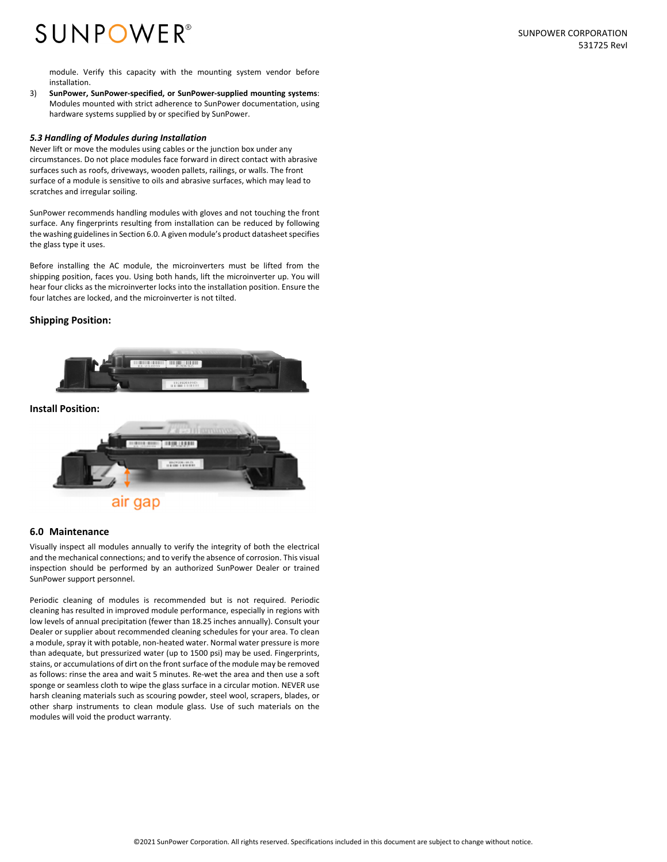## **SUNPOWER**<sup>®</sup>

module. Verify this capacity with the mounting system vendor before installation.

3) **SunPower, SunPower‐specified, or SunPower‐supplied mounting systems**: Modules mounted with strict adherence to SunPower documentation, using hardware systems supplied by or specified by SunPower.

#### *5.3 Handling of Modules during Installation*

Never lift or move the modules using cables or the junction box under any circumstances. Do not place modules face forward in direct contact with abrasive surfaces such as roofs, driveways, wooden pallets, railings, or walls. The front surface of a module is sensitive to oils and abrasive surfaces, which may lead to scratches and irregular soiling.

SunPower recommends handling modules with gloves and not touching the front surface. Any fingerprints resulting from installation can be reduced by following the washing guidelines in Section 6.0. A given module's product datasheet specifies the glass type it uses.

Before installing the AC module, the microinverters must be lifted from the shipping position, faces you. Using both hands, lift the microinverter up. You will hear four clicks as the microinverter locks into the installation position. Ensure the four latches are locked, and the microinverter is not tilted.

#### **Shipping Position:**



#### **Install Position:**



#### **6.0 Maintenance**

Visually inspect all modules annually to verify the integrity of both the electrical and the mechanical connections; and to verify the absence of corrosion. This visual inspection should be performed by an authorized SunPower Dealer or trained SunPower support personnel.

Periodic cleaning of modules is recommended but is not required. Periodic cleaning has resulted in improved module performance, especially in regions with low levels of annual precipitation (fewer than 18.25 inches annually). Consult your Dealer or supplier about recommended cleaning schedules for your area. To clean a module, spray it with potable, non‐heated water. Normal water pressure is more than adequate, but pressurized water (up to 1500 psi) may be used. Fingerprints, stains, or accumulations of dirt on the front surface of the module may be removed as follows: rinse the area and wait 5 minutes. Re‐wet the area and then use a soft sponge or seamless cloth to wipe the glass surface in a circular motion. NEVER use harsh cleaning materials such as scouring powder, steel wool, scrapers, blades, or other sharp instruments to clean module glass. Use of such materials on the modules will void the product warranty.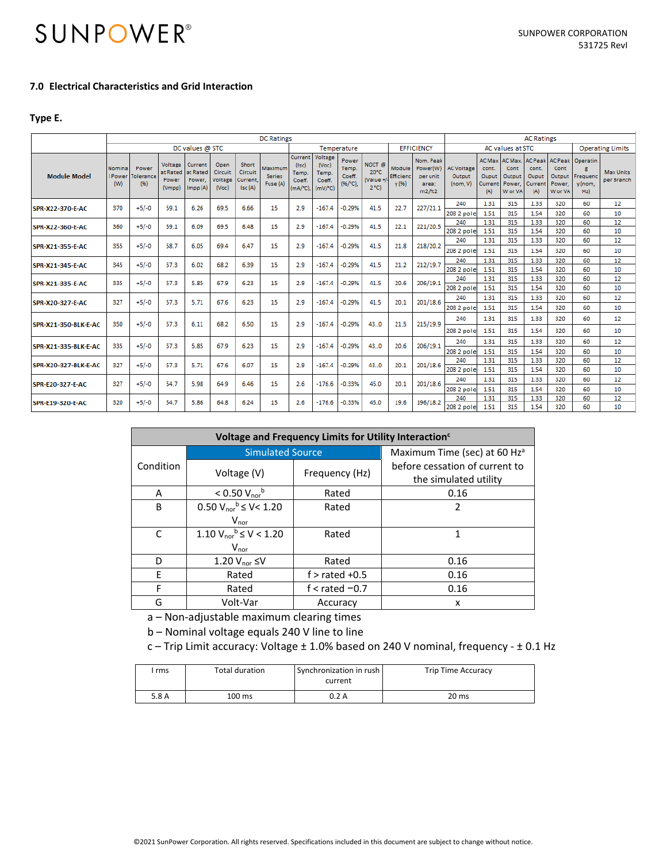#### **7.0 Electrical Characteristics and Grid Interaction**

#### **Type E.**

|                         |                          | <b>DC Ratings</b>         |                                        |                                           |                                     |                                       |                                      |                                                       |                                                        |                                         |                                               |                              | <b>AC Ratings</b>                                    |                                             |                                                   |                                                |                                                    |                                                |                                       |                                |
|-------------------------|--------------------------|---------------------------|----------------------------------------|-------------------------------------------|-------------------------------------|---------------------------------------|--------------------------------------|-------------------------------------------------------|--------------------------------------------------------|-----------------------------------------|-----------------------------------------------|------------------------------|------------------------------------------------------|---------------------------------------------|---------------------------------------------------|------------------------------------------------|----------------------------------------------------|------------------------------------------------|---------------------------------------|--------------------------------|
|                         | DC values @ STC          |                           |                                        |                                           |                                     |                                       |                                      |                                                       | Temperature<br><b>EFFICIENCY</b>                       |                                         |                                               |                              |                                                      | <b>Operating Limits</b><br>AC values at STC |                                                   |                                                |                                                    |                                                |                                       |                                |
| <b>Module Model</b>     | Nomina<br>I Power<br>(W) | Power<br>Toleranc<br>(96) | Voltage<br>at Rated<br>Power<br>(Vmpp) | Current<br>at Rated<br>Power.<br>Impp (A) | Open<br>Circuit<br>Voltage<br>(Voc) | Short<br>Circuit<br>Current<br>Isc(A) | Maximum<br><b>Series</b><br>Fuse (A) | Current<br>$($ lsc $)$<br>Temp.<br>Coeff.<br>(mA/°C). | Voltage<br>(Voc)<br>Temp.<br>Coeff.<br>$(mV)^{\circ}C$ | Power<br>Temp.<br>Coeff.<br>$(96/°C)$ . | NOCT <sub>®</sub><br>20°C<br>(Value +<br>2°C) | Module<br>Efficienc<br>y (%) | Nom, Peak<br>Power(W)<br>per unit<br>area:<br>m2/ft2 | <b>AC Voltage</b><br>Output<br>(nom, V)     | <b>AC Max</b><br>cont.<br>Ouput<br>Current<br>(A) | AC Max.<br>Cont<br>Output<br>Power.<br>W or VA | <b>AC Peak</b><br>cont.<br>Ouput<br>Current<br>(A) | AC Peak<br>Cont<br>Output<br>Power.<br>W or VA | Operatin<br>Frequenc<br>y (nom,<br>Hz | <b>Max Units</b><br>per Branch |
| SPR-X22-370-E-AC        | 370                      | $+5/-0$                   | 59.1                                   | 6.26                                      | 69.5                                | 6.66                                  | 15                                   | 2.9                                                   | $-167.4$                                               | $-0.29%$                                | 41.5                                          | 22.7                         | 227/21.1                                             | 240                                         | 1.31                                              | 315                                            | 1.33                                               | 320                                            | 60                                    | 12                             |
|                         |                          |                           |                                        |                                           |                                     |                                       |                                      |                                                       |                                                        |                                         |                                               |                              |                                                      | 208 2 pole                                  | 1.51                                              | 315                                            | 1.54                                               | 320                                            | 60                                    | 10                             |
| SPR-X22-360-E-AC        | 360                      | $+5/-0$                   | 59.1                                   | 6.09                                      | 69.5                                | 6.48                                  | 15                                   | 2.9                                                   | $-167.4$                                               | $-0.29%$                                | 41.5                                          | 22.1                         | 221/20.5                                             | 240                                         | 1.31                                              | 315                                            | 1.33                                               | 320                                            | 60<br>60                              | 12<br>10                       |
|                         |                          |                           |                                        |                                           |                                     |                                       |                                      |                                                       |                                                        |                                         |                                               |                              |                                                      | 208 2 pole<br>240                           | 1.51<br>1.31                                      | 315<br>315                                     | 1.54<br>1.33                                       | 320<br>320                                     | 60                                    | 12                             |
| <b>SPR-X21-355-E-AC</b> | 355                      | $+5/-0$                   | 58.7                                   | 6.05                                      | 69.4                                | 6.47                                  | 15                                   | 2.9                                                   | $-167.4$                                               | $-0.29%$                                | 41.5                                          | 21.8                         | 218/20.2                                             | 208 2 pole                                  | 1.51                                              | 315                                            | 1.54                                               | 320                                            | 60                                    | 10                             |
|                         |                          |                           |                                        |                                           |                                     |                                       |                                      |                                                       |                                                        |                                         |                                               |                              |                                                      | 240                                         | 1.31                                              | 315                                            | 1.33                                               | 320                                            | 60                                    | 12                             |
| <b>SPR-X21-345-E-AC</b> | 345                      | $+5/-0$                   | 57.3                                   | 6.02                                      | 68.2                                | 6.39                                  | 15                                   | 2.9                                                   | $-167.4$                                               | $-0.29%$                                | 41.5                                          | 21.2                         | 212/19.7                                             | 208 2 pole                                  | 1.51                                              | 315                                            | 1.54                                               | 320                                            | 60                                    | 10                             |
|                         |                          |                           |                                        |                                           |                                     |                                       |                                      |                                                       |                                                        |                                         |                                               |                              |                                                      | 240                                         | 1.31                                              | 315                                            | 1.33                                               | 320                                            | 60                                    | 12                             |
| SPR-X21-335-E-AC        | 335                      | $+5/-0$                   | 57.3                                   | 5.85                                      | 67.9                                | 6.23                                  | 15                                   | 2.9                                                   | $-167.4$                                               | $-0.29%$                                | 41.5                                          | 20.6                         | 206/19.1                                             | 208 2 pole                                  | 1.51                                              | 315                                            | 1.54                                               | 320                                            | 60                                    | 10                             |
| <b>SPR-X20-327-E-AC</b> | 327                      | $+5/-0$                   | 57.3                                   | 5.71                                      | 67.6                                | 6.23                                  | 15                                   | 2.9                                                   | $-167.4$                                               | $-0.29%$                                | 41.5                                          | 20.1                         | 201/18.6                                             | 240                                         | 1.31                                              | 315                                            | 1.33                                               | 320                                            | 60                                    | 12                             |
|                         |                          |                           |                                        |                                           |                                     |                                       |                                      |                                                       |                                                        |                                         |                                               |                              |                                                      | 208 2 pole                                  | 1.51                                              | 315                                            | 1.54                                               | 320                                            | 60                                    | 10                             |
|                         |                          |                           |                                        |                                           |                                     |                                       |                                      |                                                       |                                                        |                                         |                                               |                              |                                                      | 240                                         | 1.31                                              | 315                                            | 1.33                                               | 320                                            | 60                                    | 12                             |
| SPR-X21-350-BLK-E-AC    | 350                      | $+5/-0$                   | 57.3                                   | 6.11                                      | 68.2                                | 6.50                                  | 15                                   | 2.9                                                   | $-167.4$                                               | $-0.29%$                                | 43.0                                          | 21.5                         | 215/19.9                                             | 208 2 pole                                  | 1.51                                              | 315                                            | 1.54                                               | 320                                            | 60                                    | 10                             |
|                         | 335                      | $+5/-0$                   | 57.3                                   | 5.85                                      | 67.9                                | 6.23                                  | 15                                   | 2.9                                                   | $-167.4$                                               | $-0.29%$                                | 43.0                                          | 20.6                         | 206/19.1                                             | 240                                         | 1.31                                              | 315                                            | 1.33                                               | 320                                            | 60                                    | 12                             |
| SPR-X21-335-BLK-E-AC    |                          |                           |                                        |                                           |                                     |                                       |                                      |                                                       |                                                        |                                         |                                               |                              |                                                      | 208 2 pole                                  | 1.51                                              | 315                                            | 1.54                                               | 320                                            | 60                                    | 10                             |
| SPR-X20-327-BLK-E-AC    | 327                      | $+5/-0$                   | 57.3                                   | 5.71                                      | 67.6                                | 6.07                                  | 15                                   | 2.9                                                   | $-167.4$                                               | $-0.29%$                                | 43.0                                          | 20.1                         | 201/18.6                                             | 240                                         | 1.31                                              | 315                                            | 1.33                                               | 320                                            | 60                                    | 12                             |
|                         |                          |                           |                                        |                                           |                                     |                                       |                                      |                                                       |                                                        |                                         |                                               |                              |                                                      | 208 2 pole                                  | 1.51                                              | 315                                            | 1.54                                               | 320                                            | 60                                    | 10                             |
| <b>SPR-E20-327-E-AC</b> | 327                      | $+5/-0$                   | 54.7                                   | 5.98                                      | 64.9                                | 6.46                                  | 15                                   | 2.6                                                   | $-176.6$                                               | $-0.33%$                                | 45.0                                          | 20.1                         | 201/18.6                                             | 240                                         | 1.31                                              | 315                                            | 1.33                                               | 320                                            | 60                                    | 12                             |
|                         |                          |                           |                                        |                                           |                                     |                                       |                                      |                                                       |                                                        |                                         |                                               |                              |                                                      | 208 2 pole                                  | 1.51                                              | 315                                            | 1.54                                               | 320                                            | 60                                    | 10                             |
| <b>SPR-E19-320-E-AC</b> | 320                      | $+5/-0$                   | 54.7                                   | 5.86                                      | 64.8                                | 6.24                                  | 15                                   | 2.6                                                   | $-176.6$                                               | $-0.33%$                                | 45.0                                          | 19.6                         | 196/18.2                                             | 240                                         | 1.31                                              | 315                                            | 1.33                                               | 320                                            | 60                                    | 12                             |
|                         |                          |                           |                                        |                                           |                                     |                                       |                                      |                                                       |                                                        |                                         |                                               |                              |                                                      | 208 2 pole                                  | 1.51                                              | 315                                            | 1.54                                               | 320                                            | 60                                    | 10                             |

|           | Voltage and Frequency Limits for Utility Interaction <sup>c</sup>                                                                                                                                                              |                  |                                                         |  |  |  |  |  |  |  |  |
|-----------|--------------------------------------------------------------------------------------------------------------------------------------------------------------------------------------------------------------------------------|------------------|---------------------------------------------------------|--|--|--|--|--|--|--|--|
|           | <b>Simulated Source</b>                                                                                                                                                                                                        |                  | Maximum Time (sec) at 60 Hz <sup>a</sup>                |  |  |  |  |  |  |  |  |
| Condition | Voltage (V)                                                                                                                                                                                                                    | Frequency (Hz)   | before cessation of current to<br>the simulated utility |  |  |  |  |  |  |  |  |
| A         | $< 0.50 V_{\text{nor}}^{b}$                                                                                                                                                                                                    | Rated            | 0.16                                                    |  |  |  |  |  |  |  |  |
| B         | $0.50 V_{\text{nor}}^{\text{b}} \le V < 1.20$                                                                                                                                                                                  | Rated            | 2                                                       |  |  |  |  |  |  |  |  |
|           | $V_{\text{nor}}$                                                                                                                                                                                                               |                  |                                                         |  |  |  |  |  |  |  |  |
| C         | 1.10 $V_{\text{nor}}^{\text{b}} \le V < 1.20$                                                                                                                                                                                  | Rated            | 1                                                       |  |  |  |  |  |  |  |  |
|           | $V_{\text{nor}}$                                                                                                                                                                                                               |                  |                                                         |  |  |  |  |  |  |  |  |
| D         | 1.20 $V_{\text{nor}}$ $\leq$ V                                                                                                                                                                                                 | Rated            | 0.16                                                    |  |  |  |  |  |  |  |  |
| F         | Rated                                                                                                                                                                                                                          | f $>$ rated +0.5 | 0.16                                                    |  |  |  |  |  |  |  |  |
| F         | Rated                                                                                                                                                                                                                          | f < rated $-0.7$ | 0.16                                                    |  |  |  |  |  |  |  |  |
| G         | Volt-Var                                                                                                                                                                                                                       | Accuracy         | x                                                       |  |  |  |  |  |  |  |  |
|           | A the contract of the contract of the contract of the contract of the contract of the contract of the contract of the contract of the contract of the contract of the contract of the contract of the contract of the contract |                  |                                                         |  |  |  |  |  |  |  |  |

a – Non‐adjustable maximum clearing times

b – Nominal voltage equals 240 V line to line

c – Trip Limit accuracy: Voltage ± 1.0% based on 240 V nominal, frequency ‐ ± 0.1 Hz

| rms   | Total duration | Synchronization in rush<br>current | <b>Trip Time Accuracy</b> |
|-------|----------------|------------------------------------|---------------------------|
| 5.8 A | 100 ms         | 0.2 A                              | 20 ms                     |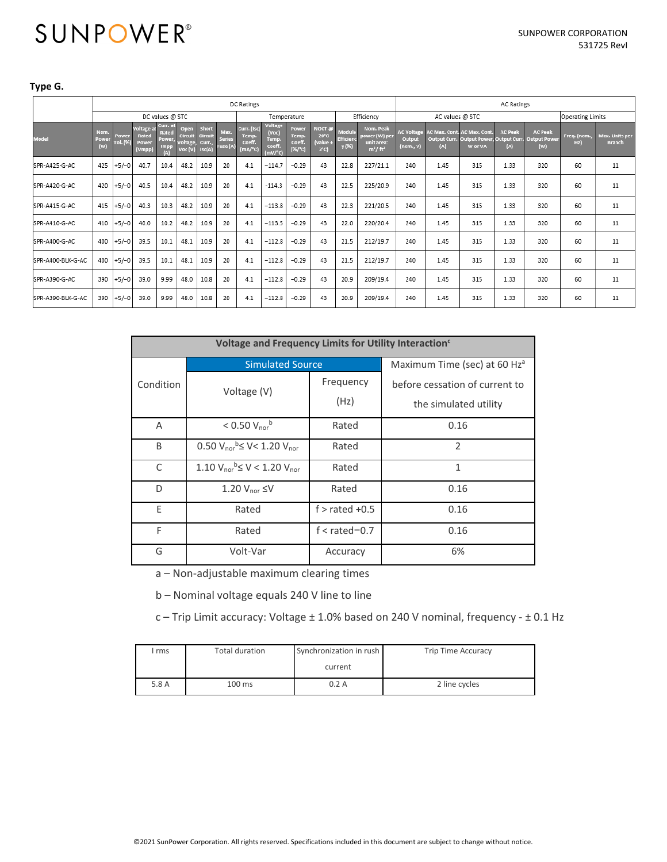#### **Type G.**

|                   | DC Ratings           |                   |                                               |                                         |                                                |                                     |                                   |                                               |                                                          |                                     |                                                                  |                              |                                                        |                                          |                      | <b>AC Ratings</b>              |                       |                                                                               |                    |                                        |
|-------------------|----------------------|-------------------|-----------------------------------------------|-----------------------------------------|------------------------------------------------|-------------------------------------|-----------------------------------|-----------------------------------------------|----------------------------------------------------------|-------------------------------------|------------------------------------------------------------------|------------------------------|--------------------------------------------------------|------------------------------------------|----------------------|--------------------------------|-----------------------|-------------------------------------------------------------------------------|--------------------|----------------------------------------|
|                   |                      | DC values @ STC   |                                               |                                         |                                                |                                     |                                   |                                               | Temperature                                              |                                     |                                                                  | Efficiency                   |                                                        | AC values @ STC                          |                      |                                |                       | <b>Operating Limits</b>                                                       |                    |                                        |
| Model             | Nom.<br>Power<br>(w) | Power<br>Tol. (%) | <b>Voltage at</b><br>Rated<br>Power<br>(Vmpp) | Curr. a<br>Rated<br>Power<br>Impp<br> A | Open<br>Circuit<br><b>Voltage</b> ,<br>Voc (V) | Short<br>Circuit<br>Curr.<br>Isc(A) | Max.<br><b>Series</b><br>Fuse (A) | Curr. (Isc)<br>Temp.<br>Coeff.<br>$(mA)^{n}C$ | Voltage<br>(Voc)<br><b>Temp</b><br>Coeff.<br>$(mV)^{n}C$ | Power<br>Temp.<br>Coeff.<br>(% / C) | NOCT <sub>e</sub><br>$20^{\circ}$ C<br>value ±<br>$2^{\circ}$ C) | Module<br>Efficienc<br>y (%) | Nom. Peak<br>power (W) per<br>unit area:<br>$m^2/ft^2$ | <b>AC Voltage</b><br>Output<br>(nom., V) | AC Max. Cont.<br>(A) | <b>AC Max. Cont</b><br>W or VA | <b>AC Peak</b><br>(A) | <b>AC Peak</b><br>Output Curr. Output Power, Output Curr. Output Power<br>(w) | Freq. (nom.,<br>Hz | <b>Max. Units per</b><br><b>Branch</b> |
| SPR-A425-G-AC     | 425                  | $+5/-0$           | 40.7                                          | 10.4                                    | 48.2                                           | 10.9                                | 20                                | 4.1                                           | $-114.7$                                                 | $-0.29$                             | 43                                                               | 22.8                         | 227/21.1                                               | 240                                      | 1.45                 | 315                            | 1.33                  | 320                                                                           | 60                 | 11                                     |
| SPR-A420-G-AC     | 420                  | $+5/-0$           | 40.5                                          | 10.4                                    | 48.2                                           | 10.9                                | 20                                | 4.1                                           | $-114.3$                                                 | $-0.29$                             | 43                                                               | 22.5                         | 225/20.9                                               | 240                                      | 1.45                 | 315                            | 1.33                  | 320                                                                           | 60                 | 11                                     |
| SPR-A415-G-AC     | 415                  | $+5/-0$           | 40.3                                          | 10.3                                    | 48.2                                           | 10.9                                | 20                                | 4.1                                           | $-113.8$                                                 | $-0.29$                             | 43                                                               | 22.3                         | 221/20.5                                               | 240                                      | 1.45                 | 315                            | 1.33                  | 320                                                                           | 60                 | 11                                     |
| SPR-A410-G-AC     | 410                  | $+5/-0$           | 40.0                                          | 10.2                                    | 48.2                                           | 10.9                                | 20                                | 4.1                                           | $-113.5$                                                 | $-0.29$                             | 43                                                               | 22.0                         | 220/20.4                                               | 240                                      | 1.45                 | 315                            | 1.33                  | 320                                                                           | 60                 | 11                                     |
| SPR-A400-G-AC     | 400                  | $+5/-0$           | 39.5                                          | 10.1                                    | 48.1                                           | 10.9                                | 20                                | 4.1                                           | $-112.8$                                                 | $-0.29$                             | 43                                                               | 21.5                         | 212/19.7                                               | 240                                      | 1.45                 | 315                            | 1.33                  | 320                                                                           | 60                 | 11                                     |
| SPR-A400-BLK-G-AC | 400                  | $+5/-0$           | 39.5                                          | 10.1                                    | 48.1                                           | 10.9                                | 20                                | 4.1                                           | $-112.8$                                                 | $-0.29$                             | 43                                                               | 21.5                         | 212/19.7                                               | 240                                      | 1.45                 | 315                            | 1.33                  | 320                                                                           | 60                 | 11                                     |
| SPR-A390-G-AC     | 390                  | $+5/-0$           | 39.0                                          | 9.99                                    | 48.0                                           | 10.8                                | 20                                | 4.1                                           | $-112.8$                                                 | $-0.29$                             | 43                                                               | 20.9                         | 209/19.4                                               | 240                                      | 1.45                 | 315                            | 1.33                  | 320                                                                           | 60                 | 11                                     |
| SPR-A390-BLK-G-AC | 390                  | $+5/-0$           | 39.0                                          | 9.99                                    | 48.0                                           | 10.8                                | 20                                | 4.1                                           | $-112.8$                                                 | $-0.29$                             | 43                                                               | 20.9                         | 209/19.4                                               | 240                                      | 1.45                 | 315                            | 1.33                  | 320                                                                           | 60                 | 11                                     |

|           | Voltage and Frequency Limits for Utility Interaction <sup>c</sup>     |                                          |                                |  |  |  |  |  |  |  |
|-----------|-----------------------------------------------------------------------|------------------------------------------|--------------------------------|--|--|--|--|--|--|--|
|           | <b>Simulated Source</b>                                               | Maximum Time (sec) at 60 Hz <sup>a</sup> |                                |  |  |  |  |  |  |  |
| Condition | Voltage (V)                                                           | Frequency                                | before cessation of current to |  |  |  |  |  |  |  |
|           |                                                                       | (Hz)                                     | the simulated utility          |  |  |  |  |  |  |  |
| A         | $< 0.50 V_{\text{nor}}^{b}$                                           | Rated                                    | 0.16                           |  |  |  |  |  |  |  |
| B         | $0.50$ V <sub>nor</sub> <sup>b</sup> $\leq$ V < 1.20 V <sub>nor</sub> | Rated                                    | $\mathcal{P}$                  |  |  |  |  |  |  |  |
| C         | $1.10 V_{nor}$ <sup>b</sup> $\leq V$ < 1.20 $V_{nor}$                 | Rated                                    | 1                              |  |  |  |  |  |  |  |
| D         | 1.20 $V_{\text{nor}} \leq V$                                          | Rated                                    | 0.16                           |  |  |  |  |  |  |  |
| E         | Rated                                                                 | $f >$ rated $+0.5$                       | 0.16                           |  |  |  |  |  |  |  |
| F         | Rated                                                                 | $f <$ rated $-0.7$                       | 0.16                           |  |  |  |  |  |  |  |
| G         | Volt-Var                                                              | Accuracy                                 | 6%                             |  |  |  |  |  |  |  |

a – Non‐adjustable maximum clearing times

b – Nominal voltage equals 240 V line to line

c – Trip Limit accuracy: Voltage ± 1.0% based on 240 V nominal, frequency ‐ ± 0.1 Hz

| rms   | Total duration   | Synchronization in rush | <b>Trip Time Accuracy</b> |
|-------|------------------|-------------------------|---------------------------|
|       |                  | current                 |                           |
| 5.8 A | $100 \text{ ms}$ | 0.2 A                   | 2 line cycles             |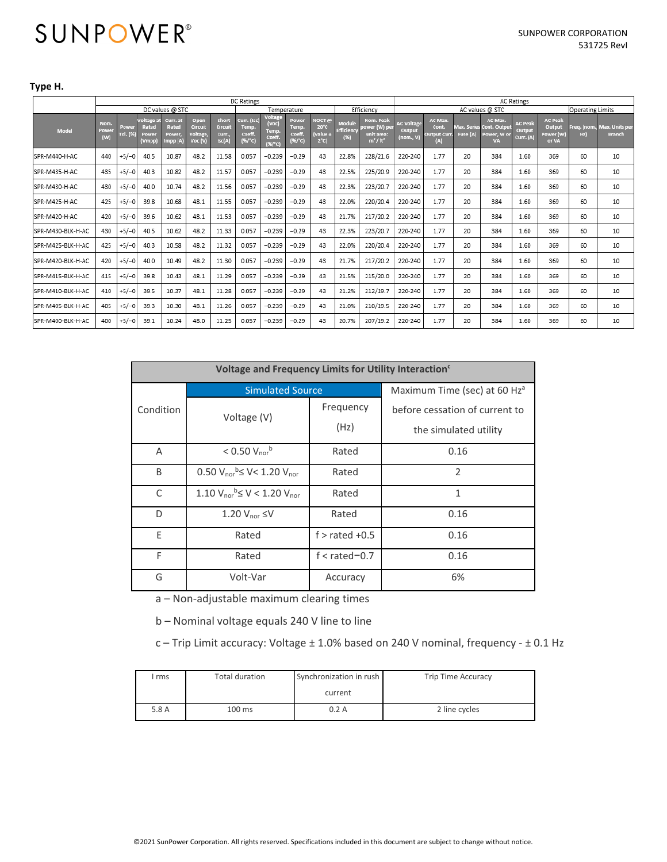#### **Type H.**

|                   | <b>DC Ratings</b>    |                                |                                      |                                         |                                       |                                     |                                                   |                                                |                                    |                                                                     |                                        | <b>AC Ratings</b>                                      |                                          |                                               |          |                                                                |                                       |                                                |                    |                                        |
|-------------------|----------------------|--------------------------------|--------------------------------------|-----------------------------------------|---------------------------------------|-------------------------------------|---------------------------------------------------|------------------------------------------------|------------------------------------|---------------------------------------------------------------------|----------------------------------------|--------------------------------------------------------|------------------------------------------|-----------------------------------------------|----------|----------------------------------------------------------------|---------------------------------------|------------------------------------------------|--------------------|----------------------------------------|
|                   |                      | DC values @ STC<br>Temperature |                                      |                                         |                                       |                                     |                                                   |                                                | Efficiency                         | AC values @ STC<br>Operating Limits                                 |                                        |                                                        |                                          |                                               |          |                                                                |                                       |                                                |                    |                                        |
| Mode              | Nom.<br>Power<br>(w) | Power<br>Tol. (%)              | oltaee a<br>Rated<br>Power<br>(Vmpp) | Curr. at<br>Rated<br>Power,<br>Impp (A) | Open<br>Circuit<br>Voltage<br>Voc (V) | Short<br>Circuit<br>Curr.<br>Isc(A) | Curr. (Isc)<br>Temp.<br>Coeff.<br>$(%/^{\circ}C)$ | Voltage<br>(Voc)<br>Temp.<br>Coeff.<br>(96/°C) | Power<br>Temp.<br>Coeff.<br>(%′`C) | NOCT $\Theta$<br>$20^{\circ}$ C<br><b>value</b> ±<br>$2^{\circ}$ C) | Module<br>Efficiency<br>$(\mathbb{X})$ | Nom. Peak<br>power (W) per<br>unit area:<br>$m^2/ft^2$ | <b>AC Voltage</b><br>Output<br>(nom., V) | AC Max.<br>Cont.<br><b>Output Curi</b><br>(A) | Fuse (A) | AC Max.<br>Max. Series Cont. Outpu<br>Power, W or<br><b>VA</b> | <b>AC Peak</b><br>Output<br>Curr. (A) | <b>AC Peak</b><br>Output<br>Power (W)<br>or VA | Frea. (nom.,<br>Hz | <b>Max. Units per</b><br><b>Branch</b> |
| SPR-M440-H-AC     | 440                  | $+5/-0$                        | 40.5                                 | 10.87                                   | 48.2                                  | 11.58                               | 0.057                                             | $-0.239$                                       | $-0.29$                            | 43                                                                  | 22.8%                                  | 228/21.6                                               | 220-240                                  | 1.77                                          | 20       | 384                                                            | 1.60                                  | 369                                            | 60                 | 10                                     |
| SPR-M435-H-AC     | 435                  | $+5/-0$                        | 40.3                                 | 10.82                                   | 48.2                                  | 11.57                               | 0.057                                             | $-0.239$                                       | $-0.29$                            | 43                                                                  | 22.5%                                  | 225/20.9                                               | 220-240                                  | 1.77                                          | 20       | 384                                                            | 1.60                                  | 369                                            | 60                 | 10                                     |
| SPR-M430-H-AC     | 430                  | $+5/-0$                        | 40.0                                 | 10.74                                   | 48.2                                  | 11.56                               | 0.057                                             | $-0.239$                                       | $-0.29$                            | 43                                                                  | 22.3%                                  | 223/20.7                                               | 220-240                                  | 1.77                                          | 20       | 384                                                            | 1.60                                  | 369                                            | 60                 | 10                                     |
| SPR-M425-H-AC     | 425                  | $+5/-0$                        | 39.8                                 | 10.68                                   | 48.1                                  | 11.55                               | 0.057                                             | $-0.239$                                       | $-0.29$                            | 43                                                                  | 22.0%                                  | 220/20.4                                               | 220-240                                  | 1.77                                          | 20       | 384                                                            | 1.60                                  | 369                                            | 60                 | 10                                     |
| SPR-M420-H-AC     | 420                  | $+5/-0$                        | 39.6                                 | 10.62                                   | 48.1                                  | 11.53                               | 0.057                                             | $-0.239$                                       | $-0.29$                            | 43                                                                  | 21.7%                                  | 217/20.2                                               | 220-240                                  | 1.77                                          | 20       | 384                                                            | 1.60                                  | 369                                            | 60                 | 10                                     |
| SPR-M430-BLK-H-AC | 430                  | $+5/-0$                        | 40.5                                 | 10.62                                   | 48.2                                  | 11.33                               | 0.057                                             | $-0.239$                                       | $-0.29$                            | 43                                                                  | 22.3%                                  | 223/20.7                                               | 220-240                                  | 1.77                                          | 20       | 384                                                            | 1.60                                  | 369                                            | 60                 | 10                                     |
| SPR-M425-BLK-H-AC | 425                  | $+5/-0$                        | 40.3                                 | 10.58                                   | 48.2                                  | 11.32                               | 0.057                                             | $-0.239$                                       | $-0.29$                            | 43                                                                  | 22.0%                                  | 220/20.4                                               | 220-240                                  | 1.77                                          | 20       | 384                                                            | 1.60                                  | 369                                            | 60                 | 10                                     |
| SPR-M420-BLK-H-AC | 420                  | $+5/-0$                        | 40.0                                 | 10.49                                   | 48.2                                  | 11.30                               | 0.057                                             | $-0.239$                                       | $-0.29$                            | 43                                                                  | 21.7%                                  | 217/20.2                                               | 220-240                                  | 1.77                                          | 20       | 384                                                            | 1.60                                  | 369                                            | 60                 | 10                                     |
| SPR-M415-BLK-H-AC | 415                  | $+5/-0$                        | 39.8                                 | 10.43                                   | 48.1                                  | 11.29                               | 0.057                                             | $-0.239$                                       | $-0.29$                            | 43                                                                  | 21.5%                                  | 215/20.0                                               | 220-240                                  | 1.77                                          | 20       | 384                                                            | 1.60                                  | 369                                            | 60                 | 10                                     |
| SPR-M410-BLK-H-AC | 410                  | $+5/-0$                        | 39.5                                 | 10.37                                   | 48.1                                  | 11.28                               | 0.057                                             | $-0.239$                                       | $-0.29$                            | 43                                                                  | 21.2%                                  | 212/19.7                                               | 220-240                                  | 1.77                                          | 20       | 384                                                            | 1.60                                  | 369                                            | 60                 | 10                                     |
| SPR-M405-BLK-H-AC | 405                  | $+5/-0$                        | 39.3                                 | 10.30                                   | 48.1                                  | 11.26                               | 0.057                                             | $-0.239$                                       | $-0.29$                            | 43                                                                  | 21.0%                                  | 210/19.5                                               | 220-240                                  | 1.77                                          | 20       | 384                                                            | 1.60                                  | 369                                            | 60                 | 10                                     |
| SPR-M400-BLK-H-AC | 400                  | $+5/-0$                        | 39.1                                 | 10.24                                   | 48.0                                  | 11.25                               | 0.057                                             | $-0.239$                                       | $-0.29$                            | 43                                                                  | 20.7%                                  | 207/19.2                                               | 220-240                                  | 1.77                                          | 20       | 384                                                            | 1.60                                  | 369                                            | 60                 | 10                                     |

|           | Voltage and Frequency Limits for Utility Interaction <sup>c</sup> |                                          |                                |  |  |  |  |  |  |  |  |
|-----------|-------------------------------------------------------------------|------------------------------------------|--------------------------------|--|--|--|--|--|--|--|--|
|           | <b>Simulated Source</b>                                           | Maximum Time (sec) at 60 Hz <sup>a</sup> |                                |  |  |  |  |  |  |  |  |
| Condition | Voltage (V)                                                       | Frequency                                | before cessation of current to |  |  |  |  |  |  |  |  |
|           |                                                                   | (Hz)                                     | the simulated utility          |  |  |  |  |  |  |  |  |
| A         | $< 0.50 V_{\text{nor}}^{b}$                                       | Rated                                    | 0.16                           |  |  |  |  |  |  |  |  |
| B         | 0.50 $V_{\text{nor}}^{\text{b}} \le V < 1.20 V_{\text{nor}}$      | Rated                                    | $\overline{2}$                 |  |  |  |  |  |  |  |  |
| C         | $1.10 V_{\text{nor}}^{\text{b}} \le V < 1.20 V_{\text{nor}}$      | Rated                                    | 1                              |  |  |  |  |  |  |  |  |
| D         | 1.20 $V_{\text{nor}}$ $\leq$ V                                    | Rated                                    | 0.16                           |  |  |  |  |  |  |  |  |
| E         | Rated                                                             | $f >$ rated $+0.5$                       | 0.16                           |  |  |  |  |  |  |  |  |
| F         | Rated                                                             | $f <$ rated $-0.7$                       | 0.16                           |  |  |  |  |  |  |  |  |
| G         | Volt-Var                                                          | Accuracy                                 | 6%                             |  |  |  |  |  |  |  |  |

a – Non‐adjustable maximum clearing times

b – Nominal voltage equals 240 V line to line

c – Trip Limit accuracy: Voltage ± 1.0% based on 240 V nominal, frequency ‐ ± 0.1 Hz

| rms   | Total duration   | Synchronization in rush | <b>Trip Time Accuracy</b> |
|-------|------------------|-------------------------|---------------------------|
|       |                  | current                 |                           |
| 5.8 A | $100 \text{ ms}$ | 0.2A                    | 2 line cycles             |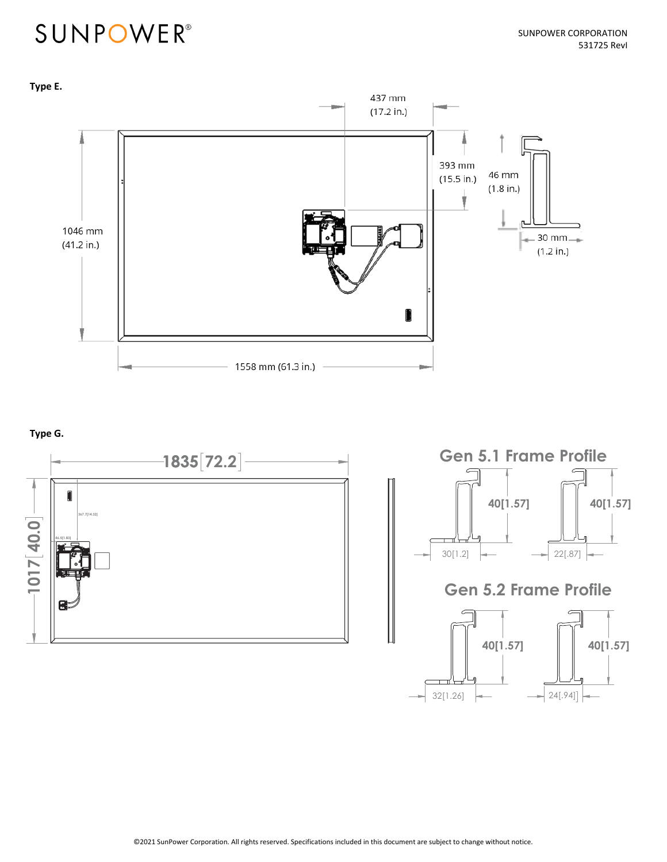

#### **Type G.**